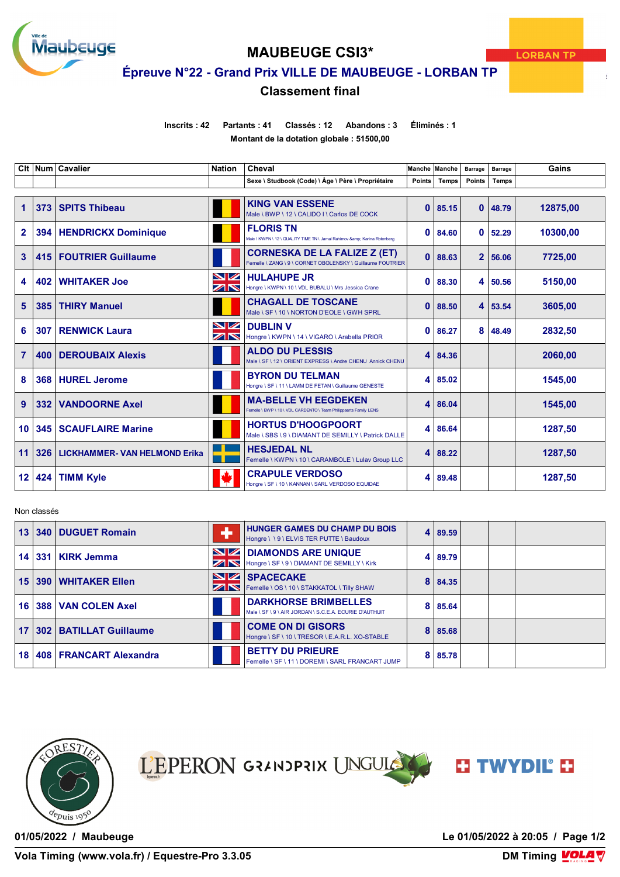

# **MAUBEUGE CSI3\***

**Épreuve N°22 - Grand Prix VILLE DE MAUBEUGE - LORBAN TP**

## **Classement final**

**Inscrits : 42 Partants : 41 Classés : 12 Abandons : 3 Éliminés : 1**

**Montant de la dotation globale : 51500,00**

|                |     | Clt   Num   Cavalier                 | <b>Nation</b>                       | Cheval                                                                                            |              | Manche Manche | <b>Barrage</b> | <b>Barrage</b> | Gains    |
|----------------|-----|--------------------------------------|-------------------------------------|---------------------------------------------------------------------------------------------------|--------------|---------------|----------------|----------------|----------|
|                |     |                                      |                                     | Sexe \ Studbook (Code) \ Âge \ Père \ Propriétaire                                                | Points       | Temps         | Points         | <b>Temps</b>   |          |
|                |     |                                      |                                     |                                                                                                   |              |               |                |                |          |
| 1              | 373 | <b>SPITS Thibeau</b>                 |                                     | <b>KING VAN ESSENE</b><br>Male \ BWP \ 12 \ CALIDO I \ Carlos DE COCK                             | 0            | 85.15         | $\mathbf{0}$   | 48.79          | 12875,00 |
| $\overline{2}$ | 394 | <b>HENDRICKX Dominique</b>           |                                     | <b>FLORIS TN</b><br>Male \ KWPN \ 12 \ QUALITY TIME TN \ Jamal Rahimov & Karina Rotenberg         | 0            | 84.60         | $\bf{0}$       | 52.29          | 10300,00 |
| 3              | 415 | <b>FOUTRIER Guillaume</b>            |                                     | <b>CORNESKA DE LA FALIZE Z (ET)</b><br>Femelle \ ZANG \ 9 \ CORNET OBOLENSKY \ Guillaume FOUTRIER | $\mathbf{0}$ | 88.63         |                | 2 56.06        | 7725,00  |
| 4              | 402 | <b>WHITAKER Joe</b>                  | NZ<br>$\overline{\mathbb{Z}}\nabla$ | <b>HULAHUPE JR</b><br>Hongre \ KWPN \ 10 \ VDL BUBALU \ Mrs Jessica Crane                         | 0            | 88.30         | 4              | 50.56          | 5150.00  |
| 5              | 385 | <b>THIRY Manuel</b>                  |                                     | <b>CHAGALL DE TOSCANE</b><br>Male \ SF \ 10 \ NORTON D'EOLE \ GWH SPRL                            | 0            | 88.50         | 4 <sup>1</sup> | 53.54          | 3605.00  |
| 6              | 307 | <b>RENWICK Laura</b>                 | <b>NZ</b><br>ZIN                    | <b>DUBLIN V</b><br>Hongre \ KWPN \ 14 \ VIGARO \ Arabella PRIOR                                   | 0            | 86.27         | 8              | 48.49          | 2832,50  |
| $\overline{7}$ | 400 | <b>DEROUBAIX Alexis</b>              |                                     | <b>ALDO DU PLESSIS</b><br>Male \ SF \ 12 \ ORIENT EXPRESS \ Andre CHENU Annick CHENU              | 4            | 84.36         |                |                | 2060.00  |
| 8              | 368 | <b>HUREL Jerome</b>                  |                                     | <b>BYRON DU TELMAN</b><br>Hongre \ SF \ 11 \ LAMM DE FETAN \ Guillaume GENESTE                    | 4            | 85.02         |                |                | 1545,00  |
| 9              | 332 | <b>VANDOORNE Axel</b>                |                                     | <b>MA-BELLE VH EEGDEKEN</b><br>Femelle \ BWP \ 10 \ VDL CARDENTO \ Team Philippaerts Family LENS  | 4            | 86.04         |                |                | 1545,00  |
| 10             | 345 | <b>SCAUFLAIRE Marine</b>             |                                     | <b>HORTUS D'HOOGPOORT</b><br>Male \ SBS \ 9 \ DIAMANT DE SEMILLY \ Patrick DALLE                  | 4            | 86.64         |                |                | 1287,50  |
| 11             | 326 | <b>LICKHAMMER- VAN HELMOND Erika</b> |                                     | <b>HESJEDAL NL</b><br>Femelle \ KWPN \ 10 \ CARAMBOLE \ Lulay Group LLC                           | 4            | 88.22         |                |                | 1287,50  |
| 12             | 424 | <b>TIMM Kyle</b>                     | Ŵ                                   | <b>CRAPULE VERDOSO</b><br>Hongre \ SF \ 10 \ KANNAN \ SARL VERDOSO EQUIDAE                        | 4            | 89.48         |                |                | 1287,50  |

### Non classés

| 13              | 340 DUGUET Romain             |                | <b>HUNGER GAMES DU CHAMP DU BOIS</b><br>Hongre \\9\ELVIS TER PUTTE \Baudoux           | 4 | 89.59 |  |  |
|-----------------|-------------------------------|----------------|---------------------------------------------------------------------------------------|---|-------|--|--|
|                 | 14 331 KIRK Jemma             | $\blacksquare$ | <b>DIAMONDS ARE UNIQUE</b><br>Hongre \ SF \ 9 \ DIAMANT DE SEMILLY \ Kirk             | 4 | 89.79 |  |  |
| 15 <sup>1</sup> | 390 WHITAKER Ellen            | ZN             | SPACECAKE<br>Femelle \ OS \ 10 \ STAKKATOL \ Tilly SHAW                               | 8 | 84.35 |  |  |
|                 | 16 388 VAN COLEN Axel         |                | <b>DARKHORSE BRIMBELLES</b><br>Male \ SF \ 9 \ AIR JORDAN \ S.C.E.A. ECURIE D'AUTHUIT | 8 | 85.64 |  |  |
| 17              | <b>302 BATILLAT Guillaume</b> |                | <b>COME ON DI GISORS</b><br>Hongre \ SF \ 10 \ TRESOR \ E.A.R.L. XO-STABLE            | 8 | 85.68 |  |  |
| 18              | 408 FRANCART Alexandra        |                | <b>BETTY DU PRIEURE</b><br>Femelle \ SF \ 11 \ DOREMI \ SARL FRANCART JUMP            | 8 | 85.78 |  |  |







**01/05/2022 / Maubeuge Le 01/05/2022 à 20:05 / Page 1/2**

**DM Timing VOLA V**